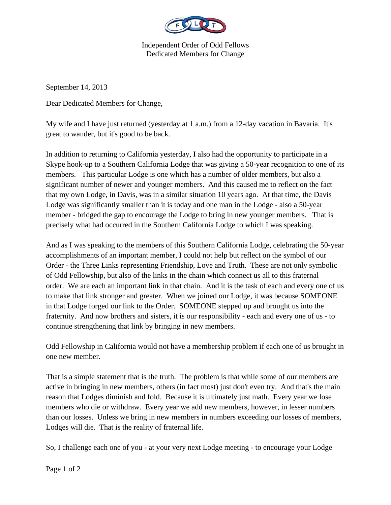

Independent Order of Odd Fellows Dedicated Members for Change

September 14, 2013

Dear Dedicated Members for Change,

My wife and I have just returned (yesterday at 1 a.m.) from a 12-day vacation in Bavaria. It's great to wander, but it's good to be back.

In addition to returning to California yesterday, I also had the opportunity to participate in a Skype hook-up to a Southern California Lodge that was giving a 50-year recognition to one of its members. This particular Lodge is one which has a number of older members, but also a significant number of newer and younger members. And this caused me to reflect on the fact that my own Lodge, in Davis, was in a similar situation 10 years ago. At that time, the Davis Lodge was significantly smaller than it is today and one man in the Lodge - also a 50-year member - bridged the gap to encourage the Lodge to bring in new younger members. That is precisely what had occurred in the Southern California Lodge to which I was speaking.

And as I was speaking to the members of this Southern California Lodge, celebrating the 50-year accomplishments of an important member, I could not help but reflect on the symbol of our Order - the Three Links representing Friendship, Love and Truth. These are not only symbolic of Odd Fellowship, but also of the links in the chain which connect us all to this fraternal order. We are each an important link in that chain. And it is the task of each and every one of us to make that link stronger and greater. When we joined our Lodge, it was because SOMEONE in that Lodge forged our link to the Order. SOMEONE stepped up and brought us into the fraternity. And now brothers and sisters, it is our responsibility - each and every one of us - to continue strengthening that link by bringing in new members.

Odd Fellowship in California would not have a membership problem if each one of us brought in one new member.

That is a simple statement that is the truth. The problem is that while some of our members are active in bringing in new members, others (in fact most) just don't even try. And that's the main reason that Lodges diminish and fold. Because it is ultimately just math. Every year we lose members who die or withdraw. Every year we add new members, however, in lesser numbers than our losses. Unless we bring in new members in numbers exceeding our losses of members, Lodges will die. That is the reality of fraternal life.

So, I challenge each one of you - at your very next Lodge meeting - to encourage your Lodge